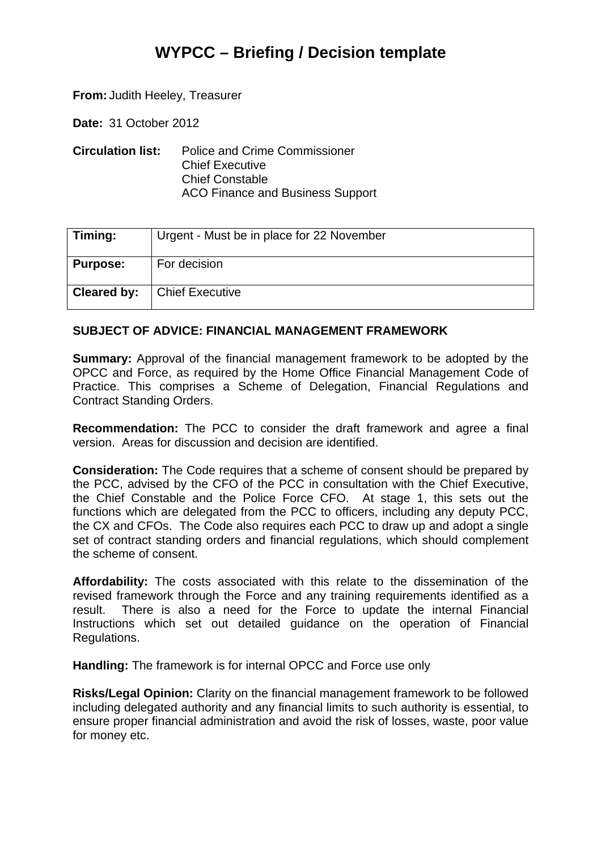## **WYPCC – Briefing / Decision template**

**From:** Judith Heeley, Treasurer

**Date:** 31 October 2012

**Circulation list:** Police and Crime Commissioner Chief Executive Chief Constable ACO Finance and Business Support

| $\mid$ Timing:  | Urgent - Must be in place for 22 November |
|-----------------|-------------------------------------------|
| <b>Purpose:</b> | For decision                              |
| Cleared by:     | <b>Chief Executive</b>                    |

## **SUBJECT OF ADVICE: FINANCIAL MANAGEMENT FRAMEWORK**

**Summary:** Approval of the financial management framework to be adopted by the OPCC and Force, as required by the Home Office Financial Management Code of Practice. This comprises a Scheme of Delegation, Financial Regulations and Contract Standing Orders.

**Recommendation:** The PCC to consider the draft framework and agree a final version. Areas for discussion and decision are identified.

**Consideration:** The Code requires that a scheme of consent should be prepared by the PCC, advised by the CFO of the PCC in consultation with the Chief Executive, the Chief Constable and the Police Force CFO. At stage 1, this sets out the functions which are delegated from the PCC to officers, including any deputy PCC, the CX and CFOs. The Code also requires each PCC to draw up and adopt a single set of contract standing orders and financial regulations, which should complement the scheme of consent.

**Affordability:** The costs associated with this relate to the dissemination of the revised framework through the Force and any training requirements identified as a result. There is also a need for the Force to update the internal Financial Instructions which set out detailed guidance on the operation of Financial Regulations.

**Handling:** The framework is for internal OPCC and Force use only

**Risks/Legal Opinion:** Clarity on the financial management framework to be followed including delegated authority and any financial limits to such authority is essential, to ensure proper financial administration and avoid the risk of losses, waste, poor value for money etc.